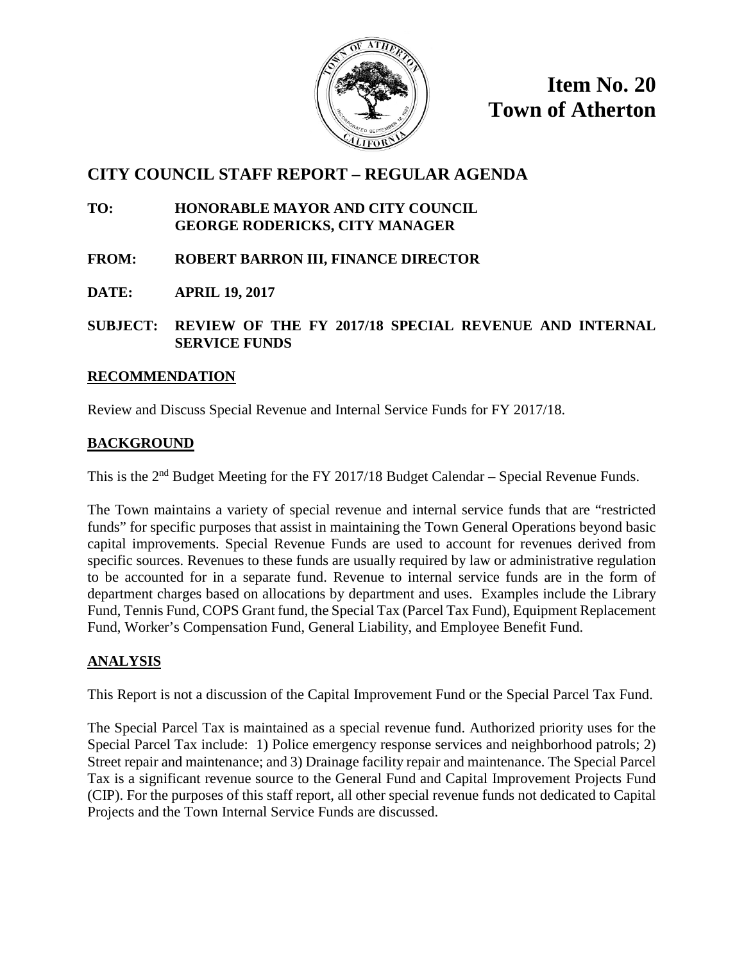

**Item No. 20 Town of Atherton**

### **CITY COUNCIL STAFF REPORT – REGULAR AGENDA**

- **TO: HONORABLE MAYOR AND CITY COUNCIL GEORGE RODERICKS, CITY MANAGER**
- **FROM: ROBERT BARRON III, FINANCE DIRECTOR**
- **DATE: APRIL 19, 2017**

**SUBJECT: REVIEW OF THE FY 2017/18 SPECIAL REVENUE AND INTERNAL SERVICE FUNDS**

#### **RECOMMENDATION**

Review and Discuss Special Revenue and Internal Service Funds for FY 2017/18.

#### **BACKGROUND**

This is the 2<sup>nd</sup> Budget Meeting for the FY 2017/18 Budget Calendar – Special Revenue Funds.

The Town maintains a variety of special revenue and internal service funds that are "restricted funds" for specific purposes that assist in maintaining the Town General Operations beyond basic capital improvements. Special Revenue Funds are used to account for revenues derived from specific sources. Revenues to these funds are usually required by law or administrative regulation to be accounted for in a separate fund. Revenue to internal service funds are in the form of department charges based on allocations by department and uses. Examples include the Library Fund, Tennis Fund, COPS Grant fund, the Special Tax (Parcel Tax Fund), Equipment Replacement Fund, Worker's Compensation Fund, General Liability, and Employee Benefit Fund.

#### **ANALYSIS**

This Report is not a discussion of the Capital Improvement Fund or the Special Parcel Tax Fund.

The Special Parcel Tax is maintained as a special revenue fund. Authorized priority uses for the Special Parcel Tax include: 1) Police emergency response services and neighborhood patrols; 2) Street repair and maintenance; and 3) Drainage facility repair and maintenance. The Special Parcel Tax is a significant revenue source to the General Fund and Capital Improvement Projects Fund (CIP). For the purposes of this staff report, all other special revenue funds not dedicated to Capital Projects and the Town Internal Service Funds are discussed.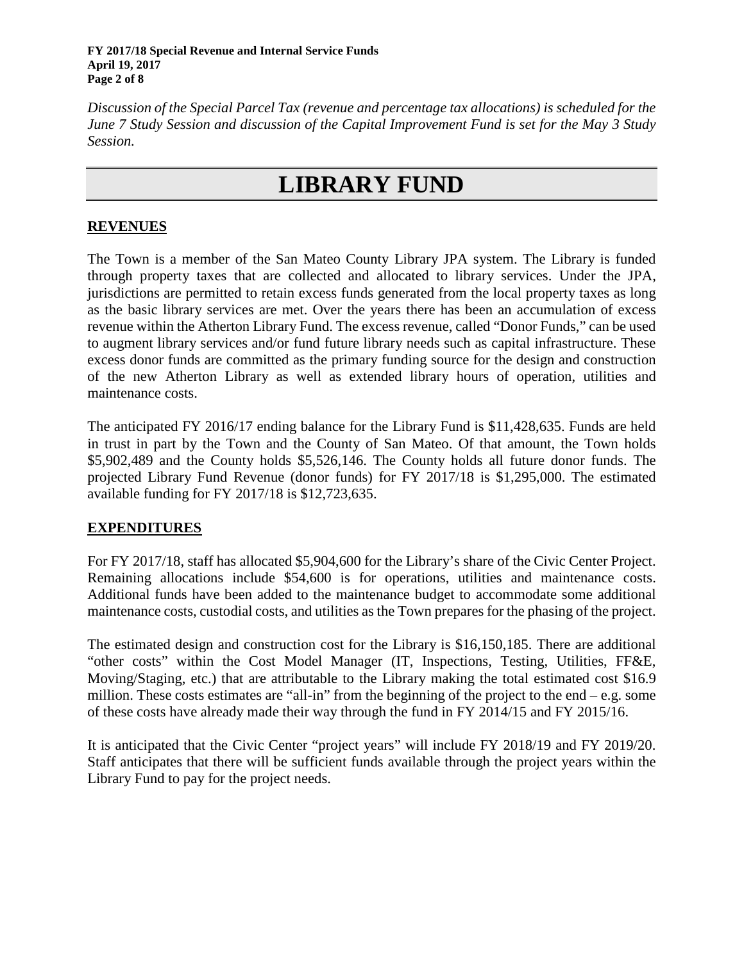*Discussion of the Special Parcel Tax (revenue and percentage tax allocations) is scheduled for the June 7 Study Session and discussion of the Capital Improvement Fund is set for the May 3 Study Session.*

# **LIBRARY FUND**

#### **REVENUES**

The Town is a member of the San Mateo County Library JPA system. The Library is funded through property taxes that are collected and allocated to library services. Under the JPA, jurisdictions are permitted to retain excess funds generated from the local property taxes as long as the basic library services are met. Over the years there has been an accumulation of excess revenue within the Atherton Library Fund. The excess revenue, called "Donor Funds," can be used to augment library services and/or fund future library needs such as capital infrastructure. These excess donor funds are committed as the primary funding source for the design and construction of the new Atherton Library as well as extended library hours of operation, utilities and maintenance costs.

The anticipated FY 2016/17 ending balance for the Library Fund is \$11,428,635. Funds are held in trust in part by the Town and the County of San Mateo. Of that amount, the Town holds \$5,902,489 and the County holds \$5,526,146. The County holds all future donor funds. The projected Library Fund Revenue (donor funds) for FY 2017/18 is \$1,295,000. The estimated available funding for FY 2017/18 is \$12,723,635.

#### **EXPENDITURES**

For FY 2017/18, staff has allocated \$5,904,600 for the Library's share of the Civic Center Project. Remaining allocations include \$54,600 is for operations, utilities and maintenance costs. Additional funds have been added to the maintenance budget to accommodate some additional maintenance costs, custodial costs, and utilities as the Town prepares for the phasing of the project.

The estimated design and construction cost for the Library is \$16,150,185. There are additional "other costs" within the Cost Model Manager (IT, Inspections, Testing, Utilities, FF&E, Moving/Staging, etc.) that are attributable to the Library making the total estimated cost \$16.9 million. These costs estimates are "all-in" from the beginning of the project to the end – e.g. some of these costs have already made their way through the fund in FY 2014/15 and FY 2015/16.

It is anticipated that the Civic Center "project years" will include FY 2018/19 and FY 2019/20. Staff anticipates that there will be sufficient funds available through the project years within the Library Fund to pay for the project needs.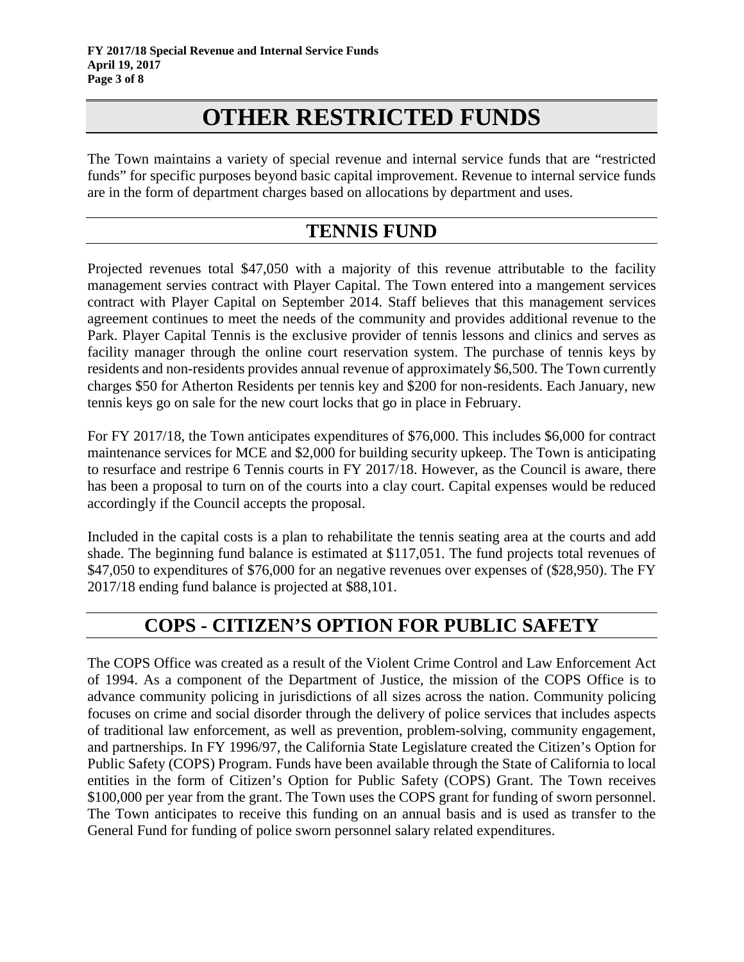# **OTHER RESTRICTED FUNDS**

The Town maintains a variety of special revenue and internal service funds that are "restricted funds" for specific purposes beyond basic capital improvement. Revenue to internal service funds are in the form of department charges based on allocations by department and uses.

### **TENNIS FUND**

Projected revenues total \$47,050 with a majority of this revenue attributable to the facility management servies contract with Player Capital. The Town entered into a mangement services contract with Player Capital on September 2014. Staff believes that this management services agreement continues to meet the needs of the community and provides additional revenue to the Park. Player Capital Tennis is the exclusive provider of tennis lessons and clinics and serves as facility manager through the online court reservation system. The purchase of tennis keys by residents and non-residents provides annual revenue of approximately \$6,500. The Town currently charges \$50 for Atherton Residents per tennis key and \$200 for non-residents. Each January, new tennis keys go on sale for the new court locks that go in place in February.

For FY 2017/18, the Town anticipates expenditures of \$76,000. This includes \$6,000 for contract maintenance services for MCE and \$2,000 for building security upkeep. The Town is anticipating to resurface and restripe 6 Tennis courts in FY 2017/18. However, as the Council is aware, there has been a proposal to turn on of the courts into a clay court. Capital expenses would be reduced accordingly if the Council accepts the proposal.

Included in the capital costs is a plan to rehabilitate the tennis seating area at the courts and add shade. The beginning fund balance is estimated at \$117,051. The fund projects total revenues of \$47,050 to expenditures of \$76,000 for an negative revenues over expenses of (\$28,950). The FY 2017/18 ending fund balance is projected at \$88,101.

# **COPS - CITIZEN'S OPTION FOR PUBLIC SAFETY**

The COPS Office was created as a result of the Violent Crime Control and Law Enforcement Act of 1994. As a component of the Department of Justice, the mission of the COPS Office is to advance community policing in jurisdictions of all sizes across the nation. Community policing focuses on crime and social disorder through the delivery of police services that includes aspects of traditional law enforcement, as well as prevention, problem-solving, community engagement, and partnerships. In FY 1996/97, the California State Legislature created the Citizen's Option for Public Safety (COPS) Program. Funds have been available through the State of California to local entities in the form of Citizen's Option for Public Safety (COPS) Grant. The Town receives \$100,000 per year from the grant. The Town uses the COPS grant for funding of sworn personnel. The Town anticipates to receive this funding on an annual basis and is used as transfer to the General Fund for funding of police sworn personnel salary related expenditures.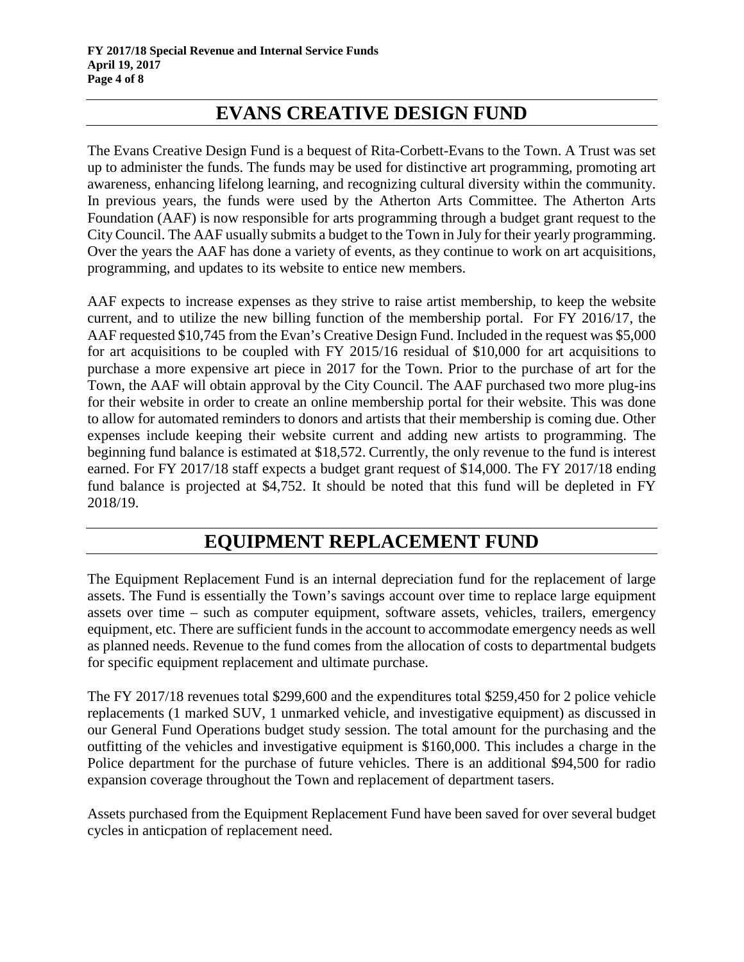# **EVANS CREATIVE DESIGN FUND**

The Evans Creative Design Fund is a bequest of Rita-Corbett-Evans to the Town. A Trust was set up to administer the funds. The funds may be used for distinctive art programming, promoting art awareness, enhancing lifelong learning, and recognizing cultural diversity within the community. In previous years, the funds were used by the Atherton Arts Committee. The Atherton Arts Foundation (AAF) is now responsible for arts programming through a budget grant request to the City Council. The AAF usually submits a budget to the Town in July for their yearly programming. Over the years the AAF has done a variety of events, as they continue to work on art acquisitions, programming, and updates to its website to entice new members.

AAF expects to increase expenses as they strive to raise artist membership, to keep the website current, and to utilize the new billing function of the membership portal. For FY 2016/17, the AAF requested \$10,745 from the Evan's Creative Design Fund. Included in the request was \$5,000 for art acquisitions to be coupled with FY 2015/16 residual of \$10,000 for art acquisitions to purchase a more expensive art piece in 2017 for the Town. Prior to the purchase of art for the Town, the AAF will obtain approval by the City Council. The AAF purchased two more plug-ins for their website in order to create an online membership portal for their website. This was done to allow for automated reminders to donors and artists that their membership is coming due. Other expenses include keeping their website current and adding new artists to programming. The beginning fund balance is estimated at \$18,572. Currently, the only revenue to the fund is interest earned. For FY 2017/18 staff expects a budget grant request of \$14,000. The FY 2017/18 ending fund balance is projected at \$4,752. It should be noted that this fund will be depleted in FY 2018/19.

# **EQUIPMENT REPLACEMENT FUND**

The Equipment Replacement Fund is an internal depreciation fund for the replacement of large assets. The Fund is essentially the Town's savings account over time to replace large equipment assets over time – such as computer equipment, software assets, vehicles, trailers, emergency equipment, etc. There are sufficient funds in the account to accommodate emergency needs as well as planned needs. Revenue to the fund comes from the allocation of costs to departmental budgets for specific equipment replacement and ultimate purchase.

The FY 2017/18 revenues total \$299,600 and the expenditures total \$259,450 for 2 police vehicle replacements (1 marked SUV, 1 unmarked vehicle, and investigative equipment) as discussed in our General Fund Operations budget study session. The total amount for the purchasing and the outfitting of the vehicles and investigative equipment is \$160,000. This includes a charge in the Police department for the purchase of future vehicles. There is an additional \$94,500 for radio expansion coverage throughout the Town and replacement of department tasers.

Assets purchased from the Equipment Replacement Fund have been saved for over several budget cycles in anticpation of replacement need.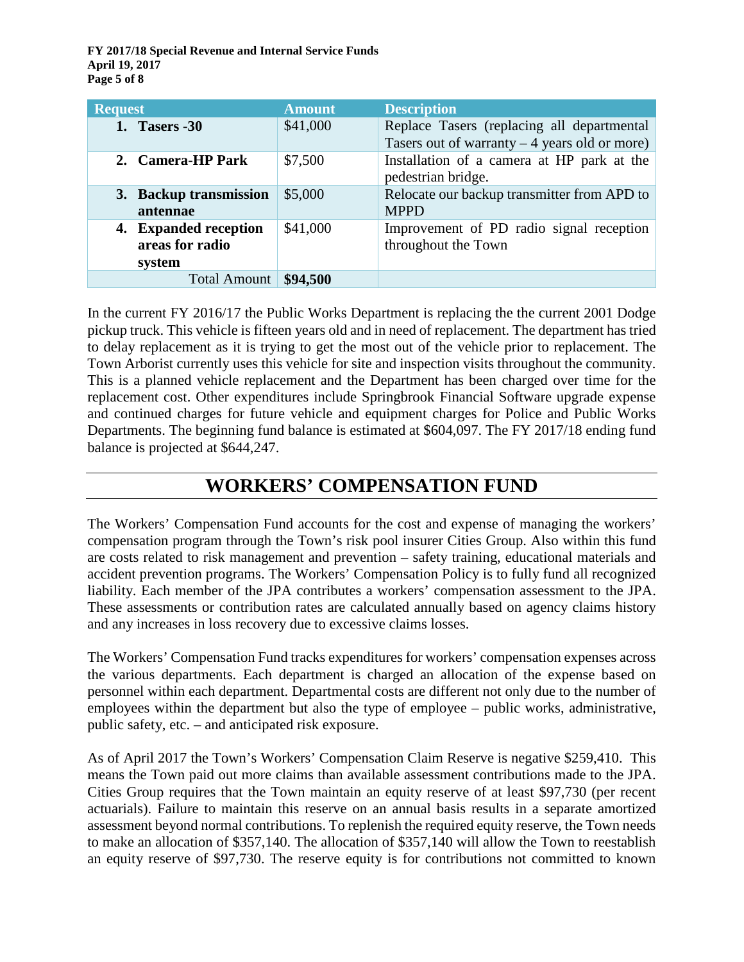**FY 2017/18 Special Revenue and Internal Service Funds April 19, 2017 Page 5 of 8**

| <b>Request</b>                                     | <b>Amount</b> | <b>Description</b>                                                                           |
|----------------------------------------------------|---------------|----------------------------------------------------------------------------------------------|
| <b>1. Tasers -30</b>                               | \$41,000      | Replace Tasers (replacing all departmental<br>Tasers out of warranty $-4$ years old or more) |
| 2. Camera-HP Park                                  | \$7,500       | Installation of a camera at HP park at the<br>pedestrian bridge.                             |
| 3. Backup transmission<br>antennae                 | \$5,000       | Relocate our backup transmitter from APD to<br><b>MPPD</b>                                   |
| 4. Expanded reception<br>areas for radio<br>system | \$41,000      | Improvement of PD radio signal reception<br>throughout the Town                              |
| Total Amount                                       | \$94,500      |                                                                                              |

In the current FY 2016/17 the Public Works Department is replacing the the current 2001 Dodge pickup truck. This vehicle is fifteen years old and in need of replacement. The department has tried to delay replacement as it is trying to get the most out of the vehicle prior to replacement. The Town Arborist currently uses this vehicle for site and inspection visits throughout the community. This is a planned vehicle replacement and the Department has been charged over time for the replacement cost. Other expenditures include Springbrook Financial Software upgrade expense and continued charges for future vehicle and equipment charges for Police and Public Works Departments. The beginning fund balance is estimated at \$604,097. The FY 2017/18 ending fund balance is projected at \$644,247.

# **WORKERS' COMPENSATION FUND**

The Workers' Compensation Fund accounts for the cost and expense of managing the workers' compensation program through the Town's risk pool insurer Cities Group. Also within this fund are costs related to risk management and prevention – safety training, educational materials and accident prevention programs. The Workers' Compensation Policy is to fully fund all recognized liability. Each member of the JPA contributes a workers' compensation assessment to the JPA. These assessments or contribution rates are calculated annually based on agency claims history and any increases in loss recovery due to excessive claims losses.

The Workers' Compensation Fund tracks expenditures for workers' compensation expenses across the various departments. Each department is charged an allocation of the expense based on personnel within each department. Departmental costs are different not only due to the number of employees within the department but also the type of employee – public works, administrative, public safety, etc. – and anticipated risk exposure.

As of April 2017 the Town's Workers' Compensation Claim Reserve is negative \$259,410. This means the Town paid out more claims than available assessment contributions made to the JPA. Cities Group requires that the Town maintain an equity reserve of at least \$97,730 (per recent actuarials). Failure to maintain this reserve on an annual basis results in a separate amortized assessment beyond normal contributions. To replenish the required equity reserve, the Town needs to make an allocation of \$357,140. The allocation of \$357,140 will allow the Town to reestablish an equity reserve of \$97,730. The reserve equity is for contributions not committed to known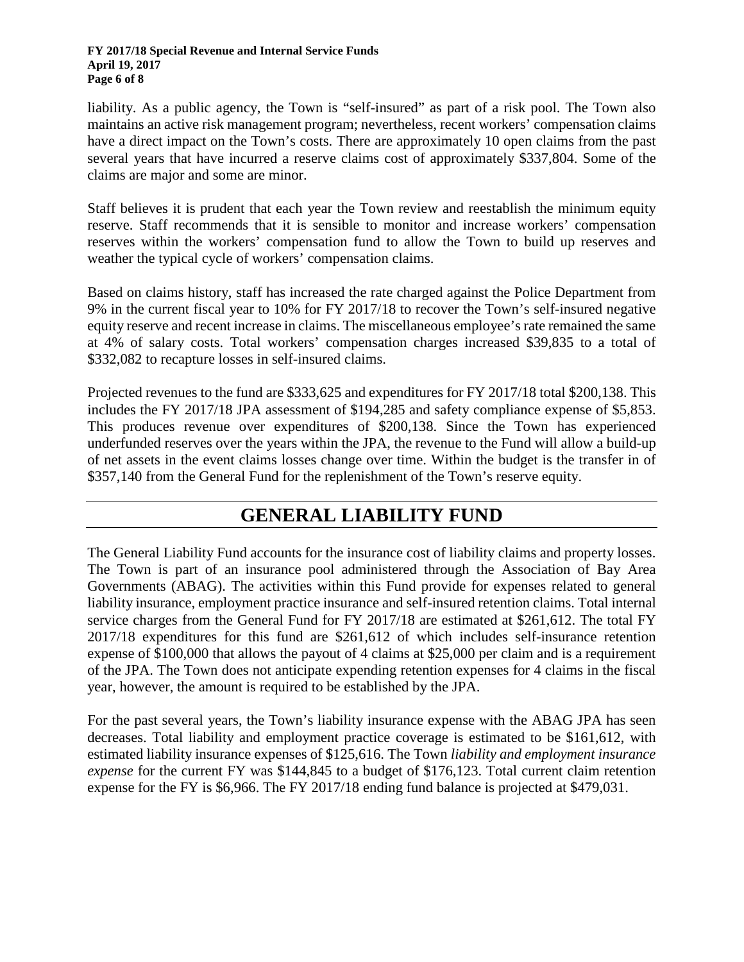#### **FY 2017/18 Special Revenue and Internal Service Funds April 19, 2017 Page 6 of 8**

liability. As a public agency, the Town is "self-insured" as part of a risk pool. The Town also maintains an active risk management program; nevertheless, recent workers' compensation claims have a direct impact on the Town's costs. There are approximately 10 open claims from the past several years that have incurred a reserve claims cost of approximately \$337,804. Some of the claims are major and some are minor.

Staff believes it is prudent that each year the Town review and reestablish the minimum equity reserve. Staff recommends that it is sensible to monitor and increase workers' compensation reserves within the workers' compensation fund to allow the Town to build up reserves and weather the typical cycle of workers' compensation claims.

Based on claims history, staff has increased the rate charged against the Police Department from 9% in the current fiscal year to 10% for FY 2017/18 to recover the Town's self-insured negative equity reserve and recent increase in claims. The miscellaneous employee's rate remained the same at 4% of salary costs. Total workers' compensation charges increased \$39,835 to a total of \$332,082 to recapture losses in self-insured claims.

Projected revenues to the fund are \$333,625 and expenditures for FY 2017/18 total \$200,138. This includes the FY 2017/18 JPA assessment of \$194,285 and safety compliance expense of \$5,853. This produces revenue over expenditures of \$200,138. Since the Town has experienced underfunded reserves over the years within the JPA, the revenue to the Fund will allow a build-up of net assets in the event claims losses change over time. Within the budget is the transfer in of \$357,140 from the General Fund for the replenishment of the Town's reserve equity.

# **GENERAL LIABILITY FUND**

The General Liability Fund accounts for the insurance cost of liability claims and property losses. The Town is part of an insurance pool administered through the Association of Bay Area Governments (ABAG). The activities within this Fund provide for expenses related to general liability insurance, employment practice insurance and self-insured retention claims. Total internal service charges from the General Fund for FY 2017/18 are estimated at \$261,612. The total FY 2017/18 expenditures for this fund are \$261,612 of which includes self-insurance retention expense of \$100,000 that allows the payout of 4 claims at \$25,000 per claim and is a requirement of the JPA. The Town does not anticipate expending retention expenses for 4 claims in the fiscal year, however, the amount is required to be established by the JPA.

For the past several years, the Town's liability insurance expense with the ABAG JPA has seen decreases. Total liability and employment practice coverage is estimated to be \$161,612, with estimated liability insurance expenses of \$125,616. The Town *liability and employment insurance expense* for the current FY was \$144,845 to a budget of \$176,123. Total current claim retention expense for the FY is \$6,966. The FY 2017/18 ending fund balance is projected at \$479,031.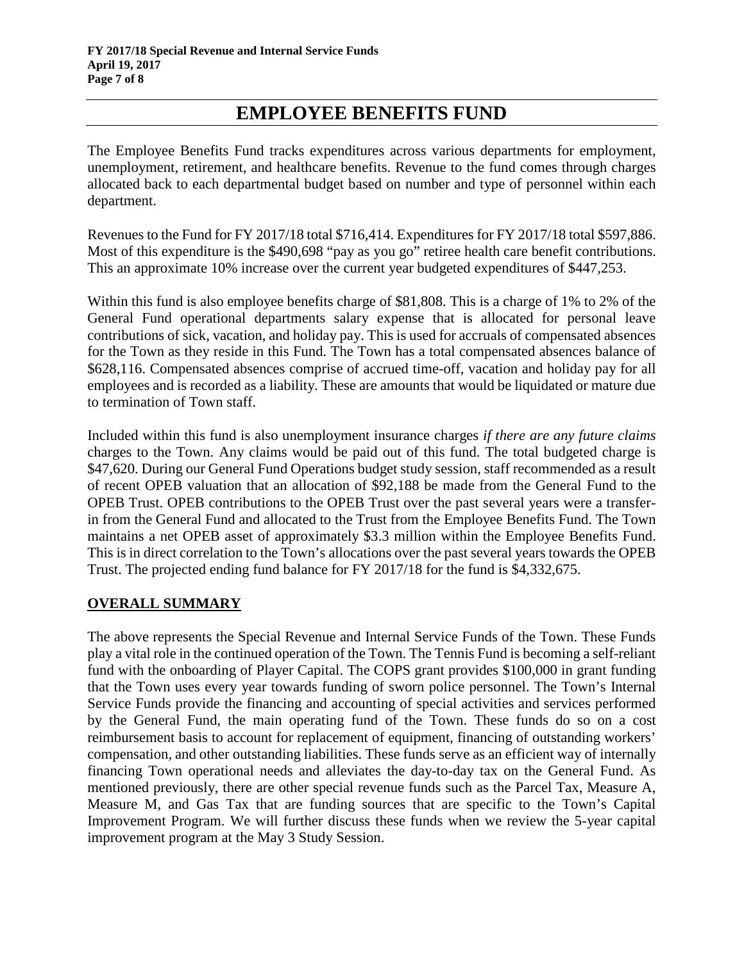### **EMPLOYEE BENEFITS FUND**

The Employee Benefits Fund tracks expenditures across various departments for employment, unemployment, retirement, and healthcare benefits. Revenue to the fund comes through charges allocated back to each departmental budget based on number and type of personnel within each department.

Revenues to the Fund for FY 2017/18 total \$716,414. Expenditures for FY 2017/18 total \$597,886. Most of this expenditure is the \$490,698 "pay as you go" retiree health care benefit contributions. This an approximate 10% increase over the current year budgeted expenditures of \$447,253.

Within this fund is also employee benefits charge of \$81,808. This is a charge of 1% to 2% of the General Fund operational departments salary expense that is allocated for personal leave contributions of sick, vacation, and holiday pay. This is used for accruals of compensated absences for the Town as they reside in this Fund. The Town has a total compensated absences balance of \$628,116. Compensated absences comprise of accrued time-off, vacation and holiday pay for all employees and is recorded as a liability. These are amounts that would be liquidated or mature due to termination of Town staff.

Included within this fund is also unemployment insurance charges *if there are any future claims* charges to the Town. Any claims would be paid out of this fund. The total budgeted charge is \$47,620. During our General Fund Operations budget study session, staff recommended as a result of recent OPEB valuation that an allocation of \$92,188 be made from the General Fund to the OPEB Trust. OPEB contributions to the OPEB Trust over the past several years were a transferin from the General Fund and allocated to the Trust from the Employee Benefits Fund. The Town maintains a net OPEB asset of approximately \$3.3 million within the Employee Benefits Fund. This is in direct correlation to the Town's allocations over the past several years towards the OPEB Trust. The projected ending fund balance for FY 2017/18 for the fund is \$4,332,675.

#### **OVERALL SUMMARY**

The above represents the Special Revenue and Internal Service Funds of the Town. These Funds play a vital role in the continued operation of the Town. The Tennis Fund is becoming a self-reliant fund with the onboarding of Player Capital. The COPS grant provides \$100,000 in grant funding that the Town uses every year towards funding of sworn police personnel. The Town's Internal Service Funds provide the financing and accounting of special activities and services performed by the General Fund, the main operating fund of the Town. These funds do so on a cost reimbursement basis to account for replacement of equipment, financing of outstanding workers' compensation, and other outstanding liabilities. These funds serve as an efficient way of internally financing Town operational needs and alleviates the day-to-day tax on the General Fund. As mentioned previously, there are other special revenue funds such as the Parcel Tax, Measure A, Measure M, and Gas Tax that are funding sources that are specific to the Town's Capital Improvement Program. We will further discuss these funds when we review the 5-year capital improvement program at the May 3 Study Session.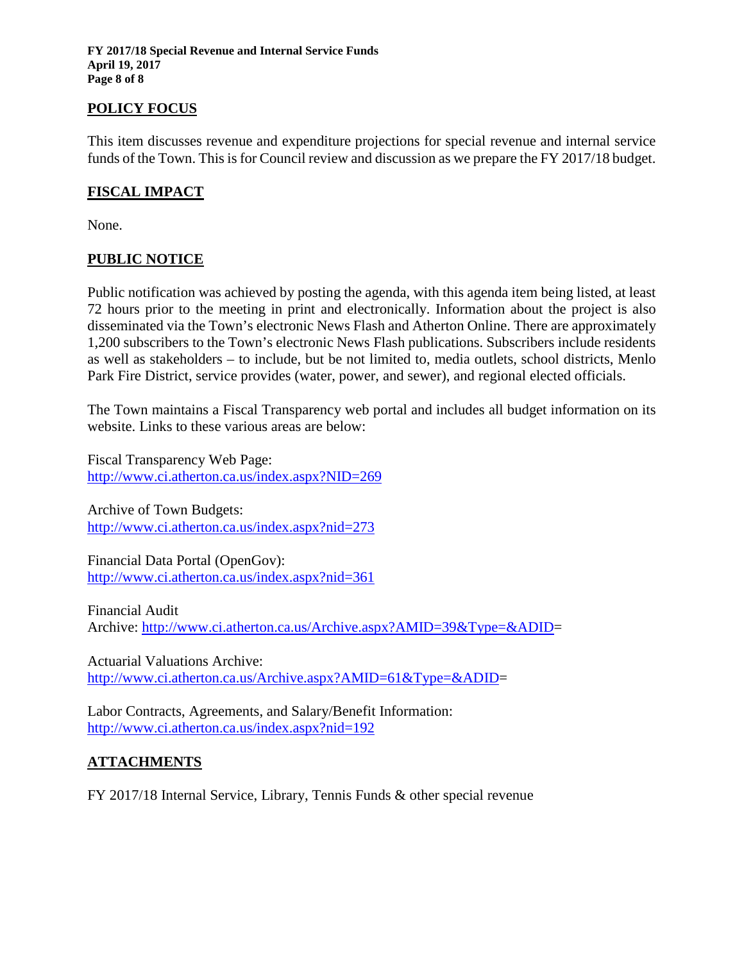**FY 2017/18 Special Revenue and Internal Service Funds April 19, 2017 Page 8 of 8**

#### **POLICY FOCUS**

This item discusses revenue and expenditure projections for special revenue and internal service funds of the Town. This is for Council review and discussion as we prepare the FY 2017/18 budget.

#### **FISCAL IMPACT**

None.

#### **PUBLIC NOTICE**

Public notification was achieved by posting the agenda, with this agenda item being listed, at least 72 hours prior to the meeting in print and electronically. Information about the project is also disseminated via the Town's electronic News Flash and Atherton Online. There are approximately 1,200 subscribers to the Town's electronic News Flash publications. Subscribers include residents as well as stakeholders – to include, but be not limited to, media outlets, school districts, Menlo Park Fire District, service provides (water, power, and sewer), and regional elected officials.

The Town maintains a Fiscal Transparency web portal and includes all budget information on its website. Links to these various areas are below:

Fiscal Transparency Web Page: <http://www.ci.atherton.ca.us/index.aspx?NID=269>

Archive of Town Budgets: <http://www.ci.atherton.ca.us/index.aspx?nid=273>

Financial Data Portal (OpenGov): <http://www.ci.atherton.ca.us/index.aspx?nid=361>

Financial Audit Archive: [http://www.ci.atherton.ca.us/Archive.aspx?AMID=39&Type=&ADID=](http://www.ci.atherton.ca.us/Archive.aspx?AMID=39&Type=&ADID)

Actuarial Valuations Archive: [http://www.ci.atherton.ca.us/Archive.aspx?AMID=61&Type=&ADID=](http://www.ci.atherton.ca.us/Archive.aspx?AMID=61&Type=&ADID)

Labor Contracts, Agreements, and Salary/Benefit Information: <http://www.ci.atherton.ca.us/index.aspx?nid=192>

#### **ATTACHMENTS**

FY 2017/18 Internal Service, Library, Tennis Funds & other special revenue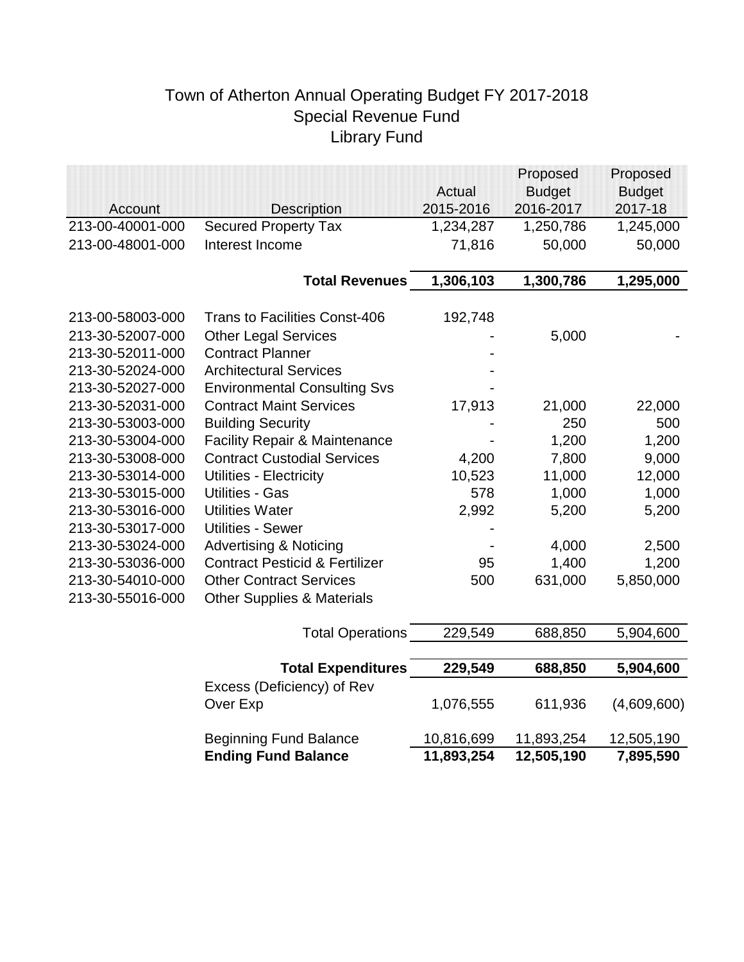# Town of Atherton Annual Operating Budget FY 2017-2018 Special Revenue Fund Library Fund

|                  |                                           |            | Proposed      | Proposed      |
|------------------|-------------------------------------------|------------|---------------|---------------|
|                  |                                           | Actual     | <b>Budget</b> | <b>Budget</b> |
| Account          | <b>Description</b>                        | 2015-2016  | 2016-2017     | 2017-18       |
| 213-00-40001-000 | <b>Secured Property Tax</b>               | 1,234,287  | 1,250,786     | 1,245,000     |
| 213-00-48001-000 | Interest Income                           | 71,816     | 50,000        | 50,000        |
|                  |                                           |            |               |               |
|                  | <b>Total Revenues</b>                     | 1,306,103  | 1,300,786     | 1,295,000     |
| 213-00-58003-000 | <b>Trans to Facilities Const-406</b>      | 192,748    |               |               |
| 213-30-52007-000 | <b>Other Legal Services</b>               |            | 5,000         |               |
| 213-30-52011-000 | <b>Contract Planner</b>                   |            |               |               |
| 213-30-52024-000 | <b>Architectural Services</b>             |            |               |               |
| 213-30-52027-000 | <b>Environmental Consulting Svs</b>       |            |               |               |
| 213-30-52031-000 | <b>Contract Maint Services</b>            | 17,913     | 21,000        | 22,000        |
| 213-30-53003-000 | <b>Building Security</b>                  |            | 250           | 500           |
| 213-30-53004-000 | <b>Facility Repair &amp; Maintenance</b>  |            | 1,200         | 1,200         |
| 213-30-53008-000 | <b>Contract Custodial Services</b>        | 4,200      | 7,800         | 9,000         |
| 213-30-53014-000 | <b>Utilities - Electricity</b>            | 10,523     | 11,000        | 12,000        |
| 213-30-53015-000 | <b>Utilities - Gas</b>                    | 578        | 1,000         | 1,000         |
| 213-30-53016-000 | <b>Utilities Water</b>                    | 2,992      | 5,200         | 5,200         |
| 213-30-53017-000 | <b>Utilities - Sewer</b>                  |            |               |               |
| 213-30-53024-000 | <b>Advertising &amp; Noticing</b>         |            | 4,000         | 2,500         |
| 213-30-53036-000 | <b>Contract Pesticid &amp; Fertilizer</b> | 95         | 1,400         | 1,200         |
| 213-30-54010-000 | <b>Other Contract Services</b>            | 500        | 631,000       | 5,850,000     |
| 213-30-55016-000 | <b>Other Supplies &amp; Materials</b>     |            |               |               |
|                  | <b>Total Operations</b>                   | 229,549    | 688,850       | 5,904,600     |
|                  |                                           |            |               |               |
|                  | <b>Total Expenditures</b>                 | 229,549    | 688,850       | 5,904,600     |
|                  | Excess (Deficiency) of Rev                |            |               |               |
|                  | Over Exp                                  | 1,076,555  | 611,936       | (4,609,600)   |
|                  | <b>Beginning Fund Balance</b>             | 10,816,699 | 11,893,254    | 12,505,190    |
|                  | <b>Ending Fund Balance</b>                | 11,893,254 | 12,505,190    | 7,895,590     |
|                  |                                           |            |               |               |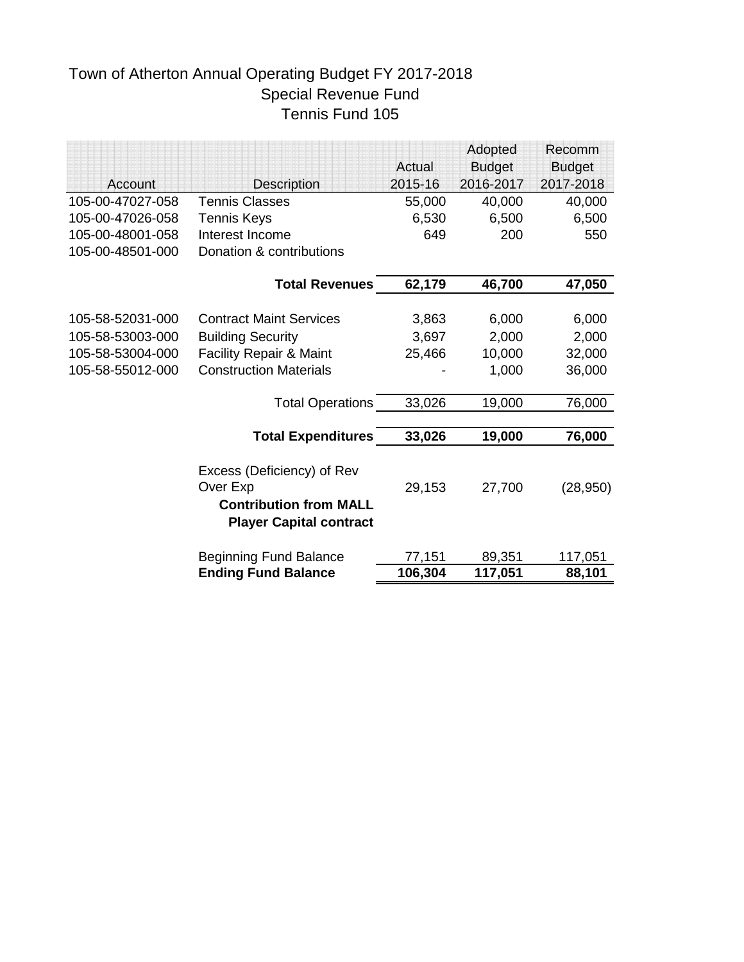# Town of Atherton Annual Operating Budget FY 2017-2018 Special Revenue Fund Tennis Fund 105

|                  |                                    |         | Adopted       | Recomm        |
|------------------|------------------------------------|---------|---------------|---------------|
|                  |                                    | Actual  | <b>Budget</b> | <b>Budget</b> |
| Account          | <b>Description</b>                 | 2015-16 | 2016-2017     | 2017-2018     |
| 105-00-47027-058 | <b>Tennis Classes</b>              | 55,000  | 40,000        | 40,000        |
| 105-00-47026-058 | <b>Tennis Keys</b>                 | 6,530   | 6,500         | 6,500         |
| 105-00-48001-058 | Interest Income                    | 649     | 200           | 550           |
| 105-00-48501-000 | Donation & contributions           |         |               |               |
|                  | <b>Total Revenues</b>              | 62,179  | 46,700        | 47,050        |
|                  |                                    |         |               |               |
| 105-58-52031-000 | <b>Contract Maint Services</b>     | 3,863   | 6,000         | 6,000         |
| 105-58-53003-000 | <b>Building Security</b>           | 3,697   | 2,000         | 2,000         |
| 105-58-53004-000 | <b>Facility Repair &amp; Maint</b> | 25,466  | 10,000        | 32,000        |
| 105-58-55012-000 | <b>Construction Materials</b>      |         | 1,000         | 36,000        |
|                  | <b>Total Operations</b>            | 33,026  | 19,000        | 76,000        |
|                  |                                    |         |               |               |
|                  | <b>Total Expenditures</b>          | 33,026  | 19,000        | 76,000        |
|                  | Excess (Deficiency) of Rev         |         |               |               |
|                  | Over Exp                           | 29,153  | 27,700        | (28, 950)     |
|                  | <b>Contribution from MALL</b>      |         |               |               |
|                  |                                    |         |               |               |
|                  | <b>Player Capital contract</b>     |         |               |               |
|                  | <b>Beginning Fund Balance</b>      | 77,151  | 89,351        | 117,051       |
|                  | <b>Ending Fund Balance</b>         | 106,304 | 117,051       | 88,101        |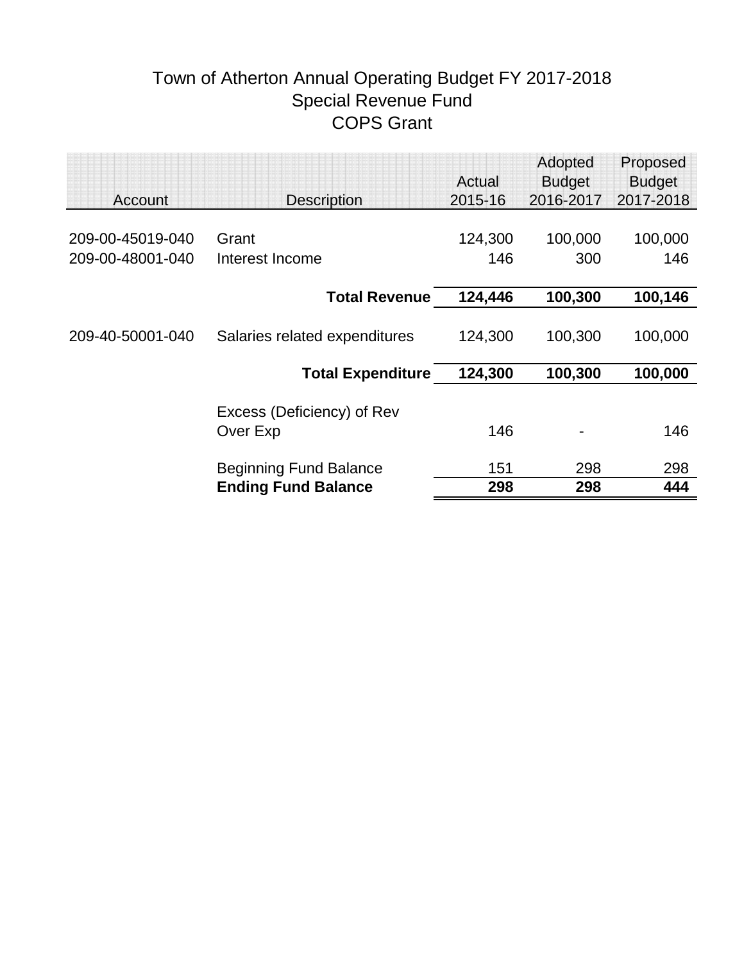# Town of Atherton Annual Operating Budget FY 2017-2018 Special Revenue Fund COPS Grant

|                  |                               |                   | Adopted                    | Proposed                   |
|------------------|-------------------------------|-------------------|----------------------------|----------------------------|
| Account          |                               | Actual<br>2015-16 | <b>Budget</b><br>2016-2017 | <b>Budget</b><br>2017-2018 |
|                  | <b>Description</b>            |                   |                            |                            |
| 209-00-45019-040 | Grant                         | 124,300           | 100,000                    | 100,000                    |
| 209-00-48001-040 | Interest Income               | 146               | 300                        | 146                        |
|                  |                               |                   |                            |                            |
|                  | <b>Total Revenue</b>          | 124,446           | 100,300                    | 100,146                    |
|                  |                               |                   |                            |                            |
| 209-40-50001-040 | Salaries related expenditures | 124,300           | 100,300                    | 100,000                    |
|                  |                               |                   |                            |                            |
|                  | <b>Total Expenditure</b>      | 124,300           | 100,300                    | 100,000                    |
|                  |                               |                   |                            |                            |
|                  | Excess (Deficiency) of Rev    | 146               |                            | 146                        |
|                  | Over Exp                      |                   |                            |                            |
|                  | <b>Beginning Fund Balance</b> | 151               | 298                        | 298                        |
|                  | <b>Ending Fund Balance</b>    | 298               | 298                        | 444                        |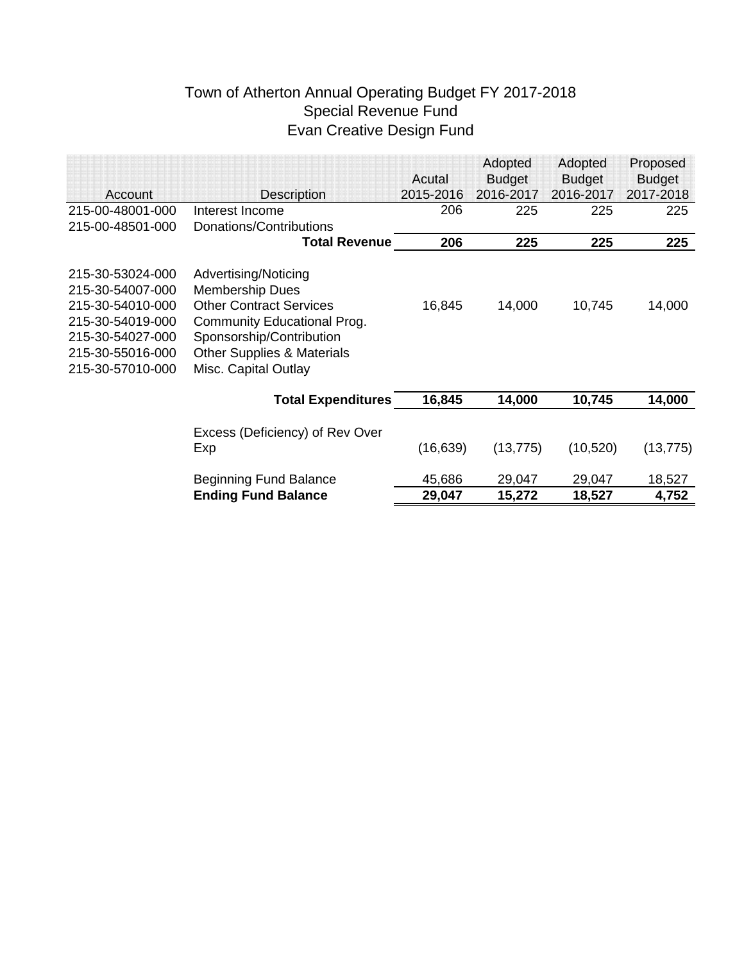### Town of Atherton Annual Operating Budget FY 2017-2018 Special Revenue Fund Evan Creative Design Fund

|                  |                                       |           | Adopted       | Adopted       | Proposed      |
|------------------|---------------------------------------|-----------|---------------|---------------|---------------|
|                  |                                       | Acutal    | <b>Budget</b> | <b>Budget</b> | <b>Budget</b> |
| Account          | <b>Description</b>                    | 2015-2016 | 2016-2017     | 2016-2017     | 2017-2018     |
| 215-00-48001-000 | Interest Income                       | 206       | 225           | 225           | 225           |
| 215-00-48501-000 | Donations/Contributions               |           |               |               |               |
|                  | <b>Total Revenue</b>                  | 206       | 225           | 225           | 225           |
| 215-30-53024-000 | Advertising/Noticing                  |           |               |               |               |
| 215-30-54007-000 | <b>Membership Dues</b>                |           |               |               |               |
| 215-30-54010-000 | <b>Other Contract Services</b>        | 16,845    | 14,000        | 10,745        | 14,000        |
| 215-30-54019-000 | <b>Community Educational Prog.</b>    |           |               |               |               |
| 215-30-54027-000 | Sponsorship/Contribution              |           |               |               |               |
| 215-30-55016-000 | <b>Other Supplies &amp; Materials</b> |           |               |               |               |
| 215-30-57010-000 | Misc. Capital Outlay                  |           |               |               |               |
|                  | <b>Total Expenditures</b>             | 16,845    | 14,000        | 10,745        | 14,000        |
|                  |                                       |           |               |               |               |
|                  | Excess (Deficiency) of Rev Over       |           |               |               |               |
|                  | Exp                                   | (16, 639) | (13, 775)     | (10, 520)     | (13, 775)     |
|                  | <b>Beginning Fund Balance</b>         | 45,686    | 29,047        | 29,047        | 18,527        |
|                  | <b>Ending Fund Balance</b>            | 29,047    | 15,272        | 18,527        | 4,752         |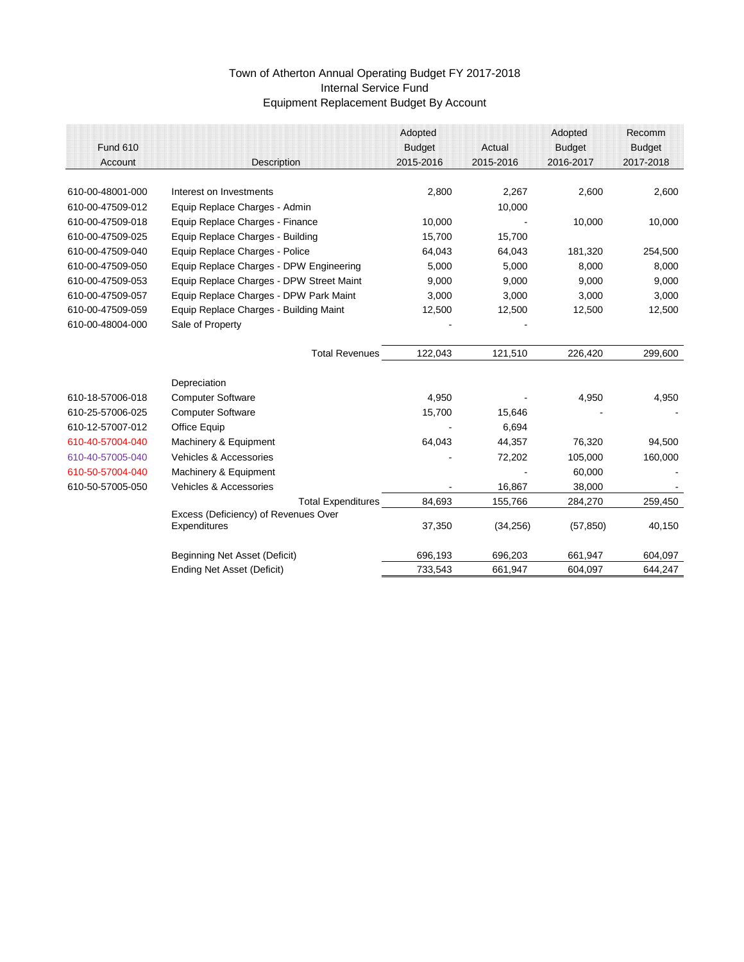|                                        | Adopted                                                                                                                                                                                                                                                                                   |                                                                                                                                   | Adopted                                                                     | Recomm                                                             |
|----------------------------------------|-------------------------------------------------------------------------------------------------------------------------------------------------------------------------------------------------------------------------------------------------------------------------------------------|-----------------------------------------------------------------------------------------------------------------------------------|-----------------------------------------------------------------------------|--------------------------------------------------------------------|
|                                        | <b>Budget</b>                                                                                                                                                                                                                                                                             | Actual                                                                                                                            | <b>Budget</b>                                                               | <b>Budget</b>                                                      |
| <b>Description</b>                     | 2015-2016                                                                                                                                                                                                                                                                                 | 2015-2016                                                                                                                         | 2016-2017                                                                   | 2017-2018                                                          |
|                                        |                                                                                                                                                                                                                                                                                           |                                                                                                                                   |                                                                             |                                                                    |
|                                        |                                                                                                                                                                                                                                                                                           |                                                                                                                                   |                                                                             | 2,600                                                              |
|                                        |                                                                                                                                                                                                                                                                                           |                                                                                                                                   |                                                                             |                                                                    |
|                                        |                                                                                                                                                                                                                                                                                           |                                                                                                                                   |                                                                             | 10,000                                                             |
|                                        |                                                                                                                                                                                                                                                                                           |                                                                                                                                   |                                                                             |                                                                    |
|                                        |                                                                                                                                                                                                                                                                                           |                                                                                                                                   |                                                                             | 254,500                                                            |
|                                        |                                                                                                                                                                                                                                                                                           |                                                                                                                                   |                                                                             | 8,000                                                              |
|                                        |                                                                                                                                                                                                                                                                                           |                                                                                                                                   |                                                                             | 9,000                                                              |
| Equip Replace Charges - DPW Park Maint | 3,000                                                                                                                                                                                                                                                                                     | 3,000                                                                                                                             | 3,000                                                                       | 3,000                                                              |
| Equip Replace Charges - Building Maint | 12,500                                                                                                                                                                                                                                                                                    | 12,500                                                                                                                            | 12,500                                                                      | 12,500                                                             |
| Sale of Property                       |                                                                                                                                                                                                                                                                                           |                                                                                                                                   |                                                                             |                                                                    |
|                                        |                                                                                                                                                                                                                                                                                           |                                                                                                                                   |                                                                             | 299,600                                                            |
|                                        |                                                                                                                                                                                                                                                                                           |                                                                                                                                   |                                                                             |                                                                    |
| Depreciation                           |                                                                                                                                                                                                                                                                                           |                                                                                                                                   |                                                                             |                                                                    |
| <b>Computer Software</b>               | 4,950                                                                                                                                                                                                                                                                                     |                                                                                                                                   | 4,950                                                                       | 4,950                                                              |
| <b>Computer Software</b>               | 15,700                                                                                                                                                                                                                                                                                    | 15,646                                                                                                                            |                                                                             |                                                                    |
| <b>Office Equip</b>                    |                                                                                                                                                                                                                                                                                           | 6,694                                                                                                                             |                                                                             |                                                                    |
| Machinery & Equipment                  | 64,043                                                                                                                                                                                                                                                                                    | 44,357                                                                                                                            | 76,320                                                                      | 94,500                                                             |
| <b>Vehicles &amp; Accessories</b>      |                                                                                                                                                                                                                                                                                           | 72,202                                                                                                                            | 105,000                                                                     | 160,000                                                            |
| Machinery & Equipment                  |                                                                                                                                                                                                                                                                                           |                                                                                                                                   | 60,000                                                                      |                                                                    |
| <b>Vehicles &amp; Accessories</b>      |                                                                                                                                                                                                                                                                                           | 16,867                                                                                                                            | 38,000                                                                      |                                                                    |
|                                        | 84,693                                                                                                                                                                                                                                                                                    | 155,766                                                                                                                           | 284,270                                                                     | 259,450                                                            |
| Excess (Deficiency) of Revenues Over   |                                                                                                                                                                                                                                                                                           |                                                                                                                                   |                                                                             |                                                                    |
| <b>Expenditures</b>                    | 37,350                                                                                                                                                                                                                                                                                    | (34, 256)                                                                                                                         | (57, 850)                                                                   | 40,150                                                             |
|                                        |                                                                                                                                                                                                                                                                                           |                                                                                                                                   |                                                                             | 604,097                                                            |
| <b>Ending Net Asset (Deficit)</b>      | 733,543                                                                                                                                                                                                                                                                                   | 661,947                                                                                                                           | 604,097                                                                     | 644,247                                                            |
|                                        | Interest on Investments<br>Equip Replace Charges - Admin<br>Equip Replace Charges - Finance<br>Equip Replace Charges - Building<br>Equip Replace Charges - Police<br>Equip Replace Charges - DPW Engineering<br>Equip Replace Charges - DPW Street Maint<br>Beginning Net Asset (Deficit) | 2,800<br>10,000<br>15,700<br>64,043<br>5,000<br>9,000<br>122,043<br><b>Total Revenues</b><br><b>Total Expenditures</b><br>696,193 | 2,267<br>10,000<br>15,700<br>64,043<br>5,000<br>9,000<br>121,510<br>696,203 | 2,600<br>10,000<br>181,320<br>8,000<br>9,000<br>226,420<br>661,947 |

# Town of Atherton Annual Operating Budget FY 2017-2018 Internal Service Fund Equipment Replacement Budget By Account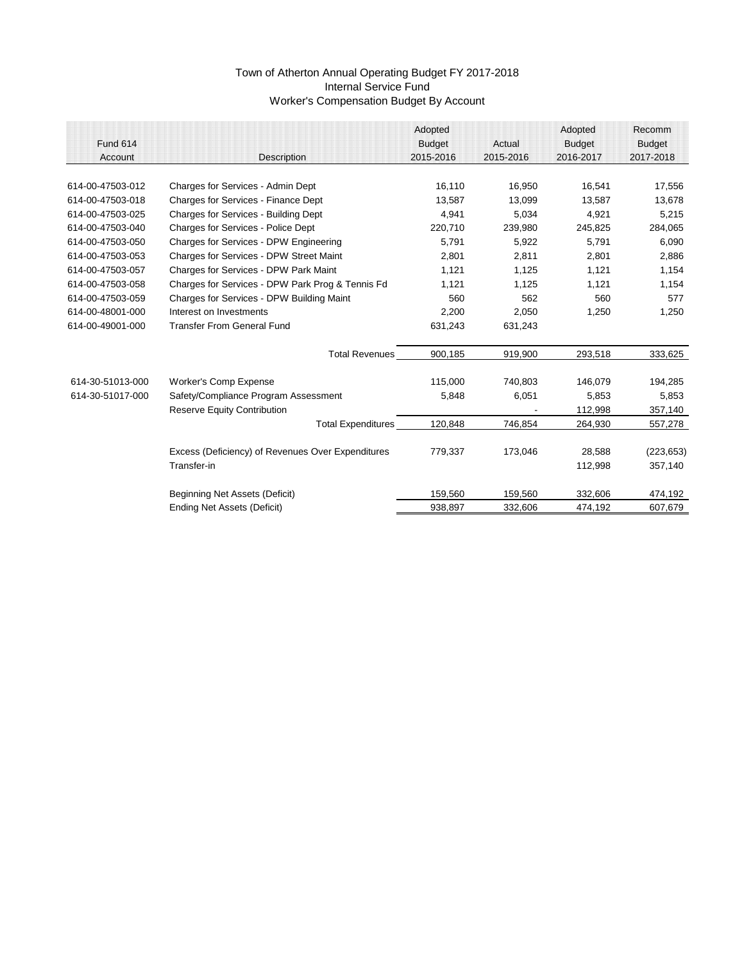|                  |                                                   | Adopted       |           | Adopted       | Recomm        |
|------------------|---------------------------------------------------|---------------|-----------|---------------|---------------|
| <b>Fund 614</b>  |                                                   | <b>Budget</b> | Actual    | <b>Budget</b> | <b>Budget</b> |
| Account          | Description                                       | 2015-2016     | 2015-2016 | 2016-2017     | 2017-2018     |
|                  |                                                   |               |           |               |               |
| 614-00-47503-012 | <b>Charges for Services - Admin Dept</b>          | 16,110        | 16,950    | 16,541        | 17,556        |
| 614-00-47503-018 | <b>Charges for Services - Finance Dept</b>        | 13,587        | 13,099    | 13,587        | 13,678        |
| 614-00-47503-025 | <b>Charges for Services - Building Dept</b>       | 4,941         | 5,034     | 4,921         | 5,215         |
| 614-00-47503-040 | <b>Charges for Services - Police Dept</b>         | 220,710       | 239,980   | 245,825       | 284,065       |
| 614-00-47503-050 | <b>Charges for Services - DPW Engineering</b>     | 5,791         | 5,922     | 5,791         | 6,090         |
| 614-00-47503-053 | <b>Charges for Services - DPW Street Maint</b>    | 2,801         | 2,811     | 2,801         | 2,886         |
| 614-00-47503-057 | <b>Charges for Services - DPW Park Maint</b>      | 1,121         | 1,125     | 1,121         | 1,154         |
| 614-00-47503-058 | Charges for Services - DPW Park Prog & Tennis Fd  | 1,121         | 1,125     | 1,121         | 1,154         |
| 614-00-47503-059 | <b>Charges for Services - DPW Building Maint</b>  | 560           | 562       | 560           | 577           |
| 614-00-48001-000 | Interest on Investments                           | 2,200         | 2,050     | 1,250         | 1,250         |
| 614-00-49001-000 | <b>Transfer From General Fund</b>                 | 631,243       | 631,243   |               |               |
|                  | <b>Total Revenues</b>                             | 900,185       | 919,900   | 293,518       | 333,625       |
| 614-30-51013-000 | <b>Worker's Comp Expense</b>                      | 115,000       | 740,803   | 146,079       | 194,285       |
| 614-30-51017-000 | Safety/Compliance Program Assessment              | 5,848         | 6,051     | 5,853         | 5,853         |
|                  | <b>Reserve Equity Contribution</b>                |               |           | 112,998       | 357,140       |
|                  | <b>Total Expenditures</b>                         | 120,848       | 746,854   | 264,930       | 557,278       |
|                  | Excess (Deficiency) of Revenues Over Expenditures | 779,337       | 173,046   | 28,588        | (223, 653)    |
|                  | Transfer-in                                       |               |           | 112,998       | 357,140       |
|                  | <b>Beginning Net Assets (Deficit)</b>             | 159,560       | 159,560   | 332,606       | 474,192       |
|                  | <b>Ending Net Assets (Deficit)</b>                | 938,897       | 332,606   | 474,192       | 607,679       |

### Town of Atherton Annual Operating Budget FY 2017-2018 Internal Service Fund Worker's Compensation Budget By Account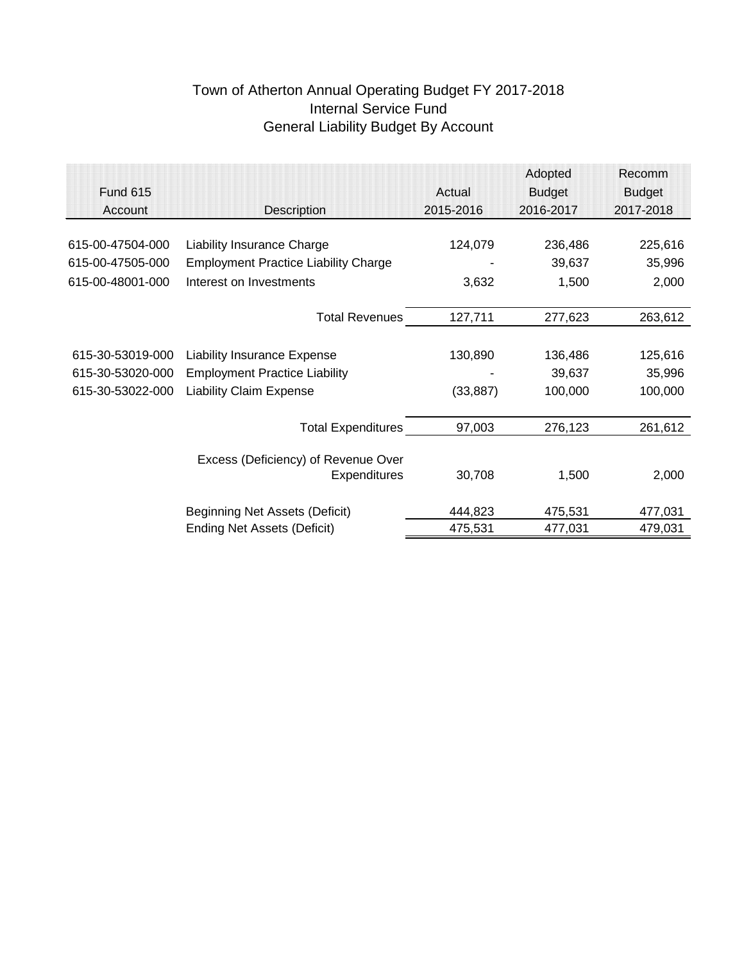# Town of Atherton Annual Operating Budget FY 2017-2018 Internal Service Fund General Liability Budget By Account

|                  |                                             |           | Adopted       | Recomm        |
|------------------|---------------------------------------------|-----------|---------------|---------------|
| <b>Fund 615</b>  |                                             | Actual    | <b>Budget</b> | <b>Budget</b> |
| Account          | <b>Description</b>                          | 2015-2016 | 2016-2017     | 2017-2018     |
|                  |                                             |           |               |               |
| 615-00-47504-000 | <b>Liability Insurance Charge</b>           | 124,079   | 236,486       | 225,616       |
| 615-00-47505-000 | <b>Employment Practice Liability Charge</b> |           | 39,637        | 35,996        |
| 615-00-48001-000 | Interest on Investments                     | 3,632     | 1,500         | 2,000         |
|                  |                                             |           |               |               |
|                  | <b>Total Revenues</b>                       | 127,711   | 277,623       | 263,612       |
|                  |                                             |           |               |               |
| 615-30-53019-000 | <b>Liability Insurance Expense</b>          | 130,890   | 136,486       | 125,616       |
| 615-30-53020-000 | <b>Employment Practice Liability</b>        |           | 39,637        | 35,996        |
| 615-30-53022-000 | <b>Liability Claim Expense</b>              | (33, 887) | 100,000       | 100,000       |
|                  |                                             |           |               |               |
|                  | <b>Total Expenditures</b>                   | 97,003    | 276,123       | 261,612       |
|                  |                                             |           |               |               |
|                  | Excess (Deficiency) of Revenue Over         |           |               |               |
|                  | <b>Expenditures</b>                         | 30,708    | 1,500         | 2,000         |
|                  |                                             |           |               |               |
|                  | Beginning Net Assets (Deficit)              | 444,823   | 475,531       | 477,031       |
|                  | <b>Ending Net Assets (Deficit)</b>          | 475,531   | 477,031       | 479,031       |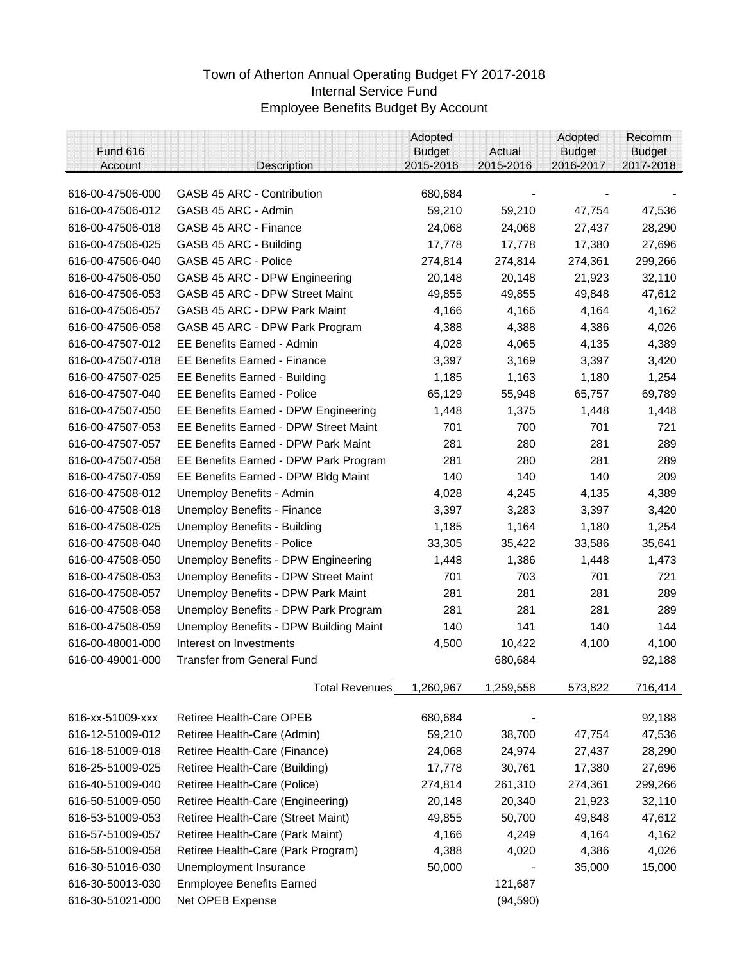### Town of Atherton Annual Operating Budget FY 2017-2018 Internal Service Fund Employee Benefits Budget By Account

| <b>Budget</b><br><b>Budget</b><br><b>Budget</b><br>2015-2016<br>2015-2016<br>2016-2017<br>2017-2018<br><b>Description</b><br>Account |         |
|--------------------------------------------------------------------------------------------------------------------------------------|---------|
| 616-00-47506-000<br><b>GASB 45 ARC - Contribution</b><br>680,684                                                                     |         |
| GASB 45 ARC - Admin<br>616-00-47506-012<br>59,210<br>59,210<br>47,754                                                                | 47,536  |
| 616-00-47506-018<br>GASB 45 ARC - Finance<br>24,068<br>24,068<br>27,437                                                              | 28,290  |
| 616-00-47506-025<br>GASB 45 ARC - Building<br>17,778<br>17,778<br>17,380                                                             | 27,696  |
| GASB 45 ARC - Police<br>616-00-47506-040<br>274,814<br>274,361<br>274,814                                                            | 299,266 |
| 616-00-47506-050<br>GASB 45 ARC - DPW Engineering<br>20,148<br>20,148<br>21,923                                                      | 32,110  |
| 616-00-47506-053<br><b>GASB 45 ARC - DPW Street Maint</b><br>49,855<br>49,855<br>49,848                                              | 47,612  |
| 616-00-47506-057<br><b>GASB 45 ARC - DPW Park Maint</b><br>4,166<br>4,166<br>4,164                                                   | 4,162   |
| 616-00-47506-058<br>GASB 45 ARC - DPW Park Program<br>4,388<br>4,386<br>4,388                                                        | 4,026   |
| 616-00-47507-012<br><b>EE Benefits Earned - Admin</b><br>4,028<br>4,135<br>4,065                                                     | 4,389   |
| 616-00-47507-018<br>3,397<br>3,169<br>3,397<br><b>EE Benefits Earned - Finance</b>                                                   | 3,420   |
| 1,185<br>1,163<br>1,180<br>616-00-47507-025<br><b>EE Benefits Earned - Building</b>                                                  | 1,254   |
| <b>EE Benefits Earned - Police</b><br>65,129<br>55,948<br>616-00-47507-040<br>65,757                                                 | 69,789  |
| 1,448<br>1,448<br>616-00-47507-050<br><b>EE Benefits Earned - DPW Engineering</b><br>1,375                                           | 1,448   |
| 616-00-47507-053<br><b>EE Benefits Earned - DPW Street Maint</b><br>700<br>701<br>701                                                | 721     |
| 280<br>616-00-47507-057<br><b>EE Benefits Earned - DPW Park Maint</b><br>281<br>281                                                  | 289     |
|                                                                                                                                      |         |
| 616-00-47507-058<br>EE Benefits Earned - DPW Park Program<br>281<br>280<br>281                                                       | 289     |
| 616-00-47507-059<br>EE Benefits Earned - DPW Bldg Maint<br>140<br>140<br>140                                                         | 209     |
| 616-00-47508-012<br>4,135<br>Unemploy Benefits - Admin<br>4,028<br>4,245                                                             | 4,389   |
| 616-00-47508-018<br><b>Unemploy Benefits - Finance</b><br>3,397<br>3,283<br>3,397                                                    | 3,420   |
| 616-00-47508-025<br><b>Unemploy Benefits - Building</b><br>1,185<br>1,164<br>1,180                                                   | 1,254   |
| 616-00-47508-040<br>33,305<br><b>Unemploy Benefits - Police</b><br>35,422<br>33,586                                                  | 35,641  |
| 616-00-47508-050<br><b>Unemploy Benefits - DPW Engineering</b><br>1,386<br>1,448<br>1,448                                            | 1,473   |
| 616-00-47508-053<br><b>Unemploy Benefits - DPW Street Maint</b><br>703<br>701<br>701                                                 | 721     |
| 616-00-47508-057<br><b>Unemploy Benefits - DPW Park Maint</b><br>281<br>281<br>281                                                   | 289     |
| 616-00-47508-058<br>Unemploy Benefits - DPW Park Program<br>281<br>281<br>281                                                        | 289     |
| 616-00-47508-059<br><b>Unemploy Benefits - DPW Building Maint</b><br>140<br>141<br>140                                               | 144     |
| 616-00-48001-000<br>Interest on Investments<br>4,500<br>10,422<br>4,100                                                              | 4,100   |
| <b>Transfer from General Fund</b><br>616-00-49001-000<br>680,684                                                                     | 92,188  |
| 1,259,558<br>573,822<br><b>Total Revenues</b><br>1,260,967                                                                           | 716,414 |
| 616-xx-51009-xxx<br><b>Retiree Health-Care OPEB</b><br>680,684                                                                       | 92,188  |
| 616-12-51009-012<br>Retiree Health-Care (Admin)<br>59,210<br>38,700<br>47,754                                                        | 47,536  |
| 616-18-51009-018<br>Retiree Health-Care (Finance)<br>24,068<br>24,974<br>27,437                                                      | 28,290  |
| 616-25-51009-025<br>Retiree Health-Care (Building)<br>17,380<br>17,778<br>30,761                                                     | 27,696  |
| 616-40-51009-040<br>Retiree Health-Care (Police)<br>274,814<br>261,310<br>274,361                                                    | 299,266 |
| 616-50-51009-050<br>Retiree Health-Care (Engineering)<br>20,148<br>21,923<br>20,340                                                  | 32,110  |
| 616-53-51009-053<br>Retiree Health-Care (Street Maint)<br>49,855<br>50,700<br>49,848                                                 | 47,612  |
| 616-57-51009-057<br>Retiree Health-Care (Park Maint)<br>4,166<br>4,164<br>4,249                                                      | 4,162   |
| 616-58-51009-058<br>Retiree Health-Care (Park Program)<br>4,388<br>4,020<br>4,386                                                    | 4,026   |
| 616-30-51016-030<br>50,000<br>35,000<br>Unemployment Insurance                                                                       | 15,000  |
| 616-30-50013-030<br><b>Enmployee Benefits Earned</b><br>121,687                                                                      |         |
| 616-30-51021-000<br>Net OPEB Expense<br>(94, 590)                                                                                    |         |